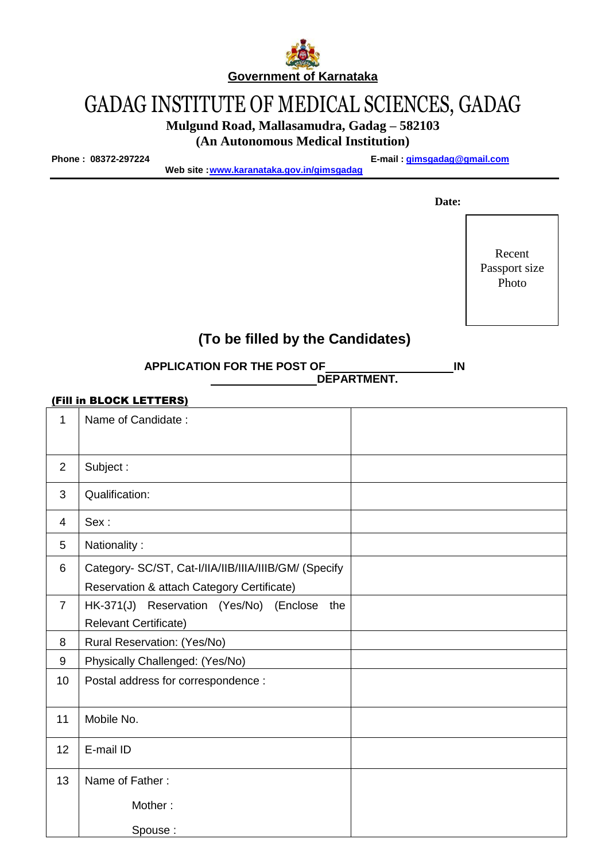

# GADAG INSTITUTE OF MEDICAL SCIENCES, GADAG

**Mulgund Road, Mallasamudra, Gadag – 582103** 

**(An Autonomous Medical Institution)**

**Phone : 08372-297224 E-mail : gimsgadag@gmail.com**

**Web site [:www.karanataka.gov.in/gimsgadag](http://www.karanataka.gov.in/gimsgadag)**

 **Date:**

Recent Passport size Photo

# **(To be filled by the Candidates)**

**APPLICATION FOR THE POST OF IN DEPARTMENT.**

#### (Fill in BLOCK LETTERS)

| 1              | Name of Candidate:                                                                                  |  |
|----------------|-----------------------------------------------------------------------------------------------------|--|
| $\overline{2}$ | Subject:                                                                                            |  |
| 3              | Qualification:                                                                                      |  |
| 4              | Sex:                                                                                                |  |
| 5              | Nationality:                                                                                        |  |
| 6              | Category- SC/ST, Cat-I/IIA/IIB/IIIA/IIIB/GM/ (Specify<br>Reservation & attach Category Certificate) |  |
| $\overline{7}$ | HK-371(J) Reservation (Yes/No) (Enclose<br>the<br><b>Relevant Certificate)</b>                      |  |
| 8              | Rural Reservation: (Yes/No)                                                                         |  |
| 9              | Physically Challenged: (Yes/No)                                                                     |  |
| 10             | Postal address for correspondence :                                                                 |  |
| 11             | Mobile No.                                                                                          |  |
| 12             | E-mail ID                                                                                           |  |
| 13             | Name of Father:                                                                                     |  |
|                | Mother:                                                                                             |  |
|                | Spouse:                                                                                             |  |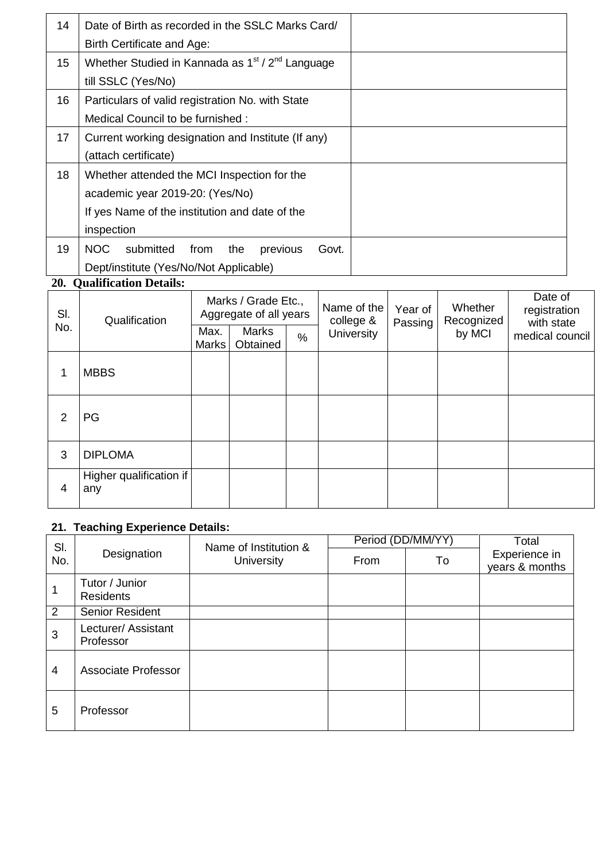| 14              | Date of Birth as recorded in the SSLC Marks Card/                        |  |
|-----------------|--------------------------------------------------------------------------|--|
|                 | Birth Certificate and Age:                                               |  |
| 15 <sub>2</sub> | Whether Studied in Kannada as 1 <sup>st</sup> / 2 <sup>nd</sup> Language |  |
|                 | till SSLC (Yes/No)                                                       |  |
| 16              | Particulars of valid registration No. with State                         |  |
|                 | Medical Council to be furnished :                                        |  |
| 17              | Current working designation and Institute (If any)                       |  |
|                 | (attach certificate)                                                     |  |
| 18              | Whether attended the MCI Inspection for the                              |  |
|                 | academic year 2019-20: (Yes/No)                                          |  |
|                 | If yes Name of the institution and date of the                           |  |
|                 | inspection                                                               |  |
| 19              | submitted<br>NOC.<br>previous<br>Govt.<br>from<br>the                    |  |
|                 | Dept/institute (Yes/No/Not Applicable)                                   |  |

## **20. Qualification Details:**

| SI.<br>No. | Qualification                  | Marks / Grade Etc.,<br>Aggregate of all years |                          | Name of the<br>college & | Year of<br>Passing | Whether<br>Recognized | Date of<br>registration<br>with state |                 |
|------------|--------------------------------|-----------------------------------------------|--------------------------|--------------------------|--------------------|-----------------------|---------------------------------------|-----------------|
|            |                                | Max.<br><b>Marks</b>                          | <b>Marks</b><br>Obtained | $\%$                     | <b>University</b>  |                       | by MCI                                | medical council |
| 1          | <b>MBBS</b>                    |                                               |                          |                          |                    |                       |                                       |                 |
| 2          | <b>PG</b>                      |                                               |                          |                          |                    |                       |                                       |                 |
| 3          | <b>DIPLOMA</b>                 |                                               |                          |                          |                    |                       |                                       |                 |
| 4          | Higher qualification if<br>any |                                               |                          |                          |                    |                       |                                       |                 |

### **21. Teaching Experience Details:**

| SI.<br>No.     | Designation                        | Name of Institution &<br><b>University</b> | Period (DD/MM/YY |    | Total                           |
|----------------|------------------------------------|--------------------------------------------|------------------|----|---------------------------------|
|                |                                    |                                            | From             | To | Experience in<br>years & months |
|                | Tutor / Junior<br><b>Residents</b> |                                            |                  |    |                                 |
| 2              | Senior Resident                    |                                            |                  |    |                                 |
| 3              | Lecturer/ Assistant<br>Professor   |                                            |                  |    |                                 |
| $\overline{4}$ | <b>Associate Professor</b>         |                                            |                  |    |                                 |
| 5              | Professor                          |                                            |                  |    |                                 |